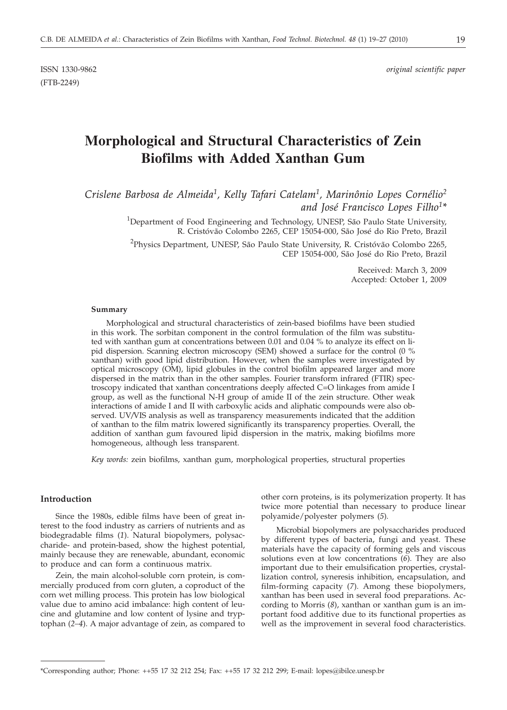(FTB-2249)

# **Morphological and Structural Characteristics of Zein Biofilms with Added Xanthan Gum**

*Crislene Barbosa de Almeida1, Kelly Tafari Catelam1, Marinônio Lopes Cornélio2 and José Francisco Lopes Filho1\**

> <sup>1</sup>Department of Food Engineering and Technology, UNESP, São Paulo State University, R. Cristóvão Colombo 2265, CEP 15054-000, São José do Rio Preto, Brazil

> <sup>2</sup>Physics Department, UNESP, São Paulo State University, R. Cristóvão Colombo 2265, CEP 15054-000, São José do Rio Preto, Brazil

> > Received: March 3, 2009 Accepted: October 1, 2009

## **Summary**

Morphological and structural characteristics of zein-based biofilms have been studied in this work. The sorbitan component in the control formulation of the film was substituted with xanthan gum at concentrations between 0.01 and 0.04 % to analyze its effect on lipid dispersion. Scanning electron microscopy (SEM) showed a surface for the control (0 % xanthan) with good lipid distribution. However, when the samples were investigated by optical microscopy (OM), lipid globules in the control biofilm appeared larger and more dispersed in the matrix than in the other samples. Fourier transform infrared (FTIR) spectroscopy indicated that xanthan concentrations deeply affected C=O linkages from amide I group, as well as the functional N-H group of amide II of the zein structure. Other weak interactions of amide I and II with carboxylic acids and aliphatic compounds were also observed. UV*/*VIS analysis as well as transparency measurements indicated that the addition of xanthan to the film matrix lowered significantly its transparency properties. Overall, the addition of xanthan gum favoured lipid dispersion in the matrix, making biofilms more homogeneous, although less transparent.

*Key words:* zein biofilms, xanthan gum, morphological properties, structural properties

## **Introduction**

Since the 1980s, edible films have been of great interest to the food industry as carriers of nutrients and as biodegradable films (*1*). Natural biopolymers, polysaccharide- and protein-based, show the highest potential, mainly because they are renewable, abundant, economic to produce and can form a continuous matrix.

Zein, the main alcohol-soluble corn protein, is commercially produced from corn gluten, a coproduct of the corn wet milling process. This protein has low biological value due to amino acid imbalance: high content of leucine and glutamine and low content of lysine and tryptophan (*2–4*). A major advantage of zein, as compared to

other corn proteins, is its polymerization property. It has twice more potential than necessary to produce linear polyamide/polyester polymers (*5*)*.*

Microbial biopolymers are polysaccharides produced by different types of bacteria, fungi and yeast. These materials have the capacity of forming gels and viscous solutions even at low concentrations (*6*)*.* They are also important due to their emulsification properties, crystallization control, syneresis inhibition, encapsulation, and film-forming capacity (*7*)*.* Among these biopolymers, xanthan has been used in several food preparations. According to Morris (*8*), xanthan or xanthan gum is an important food additive due to its functional properties as well as the improvement in several food characteristics.

<sup>\*</sup>Corresponding author; Phone: ++55 17 32 212 254; Fax: ++55 17 32 212 299; E-mail: lopes@ibilce.unesp.br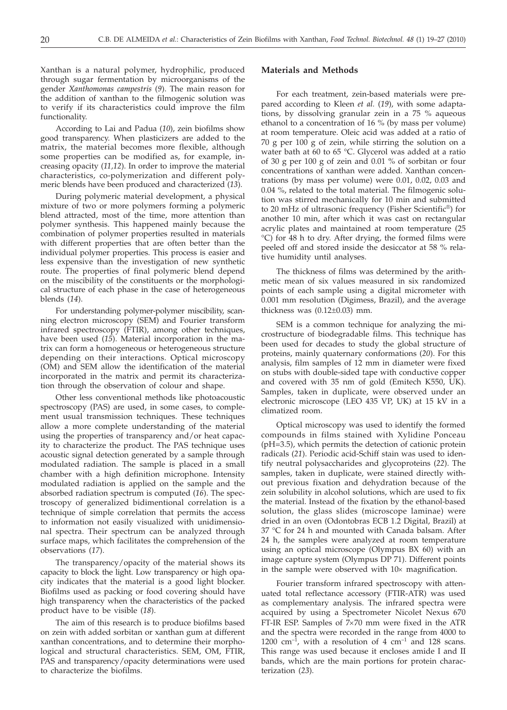Xanthan is a natural polymer, hydrophilic, produced through sugar fermentation by microorganisms of the gender *Xanthomonas campestris* (*9*). The main reason for the addition of xanthan to the filmogenic solution was to verify if its characteristics could improve the film functionality.

According to Lai and Padua (*10*), zein biofilms show good transparency. When plasticizers are added to the matrix, the material becomes more flexible, although some properties can be modified as, for example, increasing opacity (*11,12*). In order to improve the material characteristics, co-polymerization and different polymeric blends have been produced and characterized (*13*).

During polymeric material development, a physical mixture of two or more polymers forming a polymeric blend attracted, most of the time, more attention than polymer synthesis. This happened mainly because the combination of polymer properties resulted in materials with different properties that are often better than the individual polymer properties. This process is easier and less expensive than the investigation of new synthetic route. The properties of final polymeric blend depend on the miscibility of the constituents or the morphological structure of each phase in the case of heterogeneous blends (*14*).

For understanding polymer-polymer miscibility, scanning electron microscopy (SEM) and Fourier transform infrared spectroscopy (FTIR), among other techniques, have been used (*15*). Material incorporation in the matrix can form a homogeneous or heterogeneous structure depending on their interactions. Optical microscopy (OM) and SEM allow the identification of the material incorporated in the matrix and permit its characterization through the observation of colour and shape.

Other less conventional methods like photoacoustic spectroscopy (PAS) are used, in some cases, to complement usual transmission techniques. These techniques allow a more complete understanding of the material using the properties of transparency and/or heat capacity to characterize the product. The PAS technique uses acoustic signal detection generated by a sample through modulated radiation. The sample is placed in a small chamber with a high definition microphone. Intensity modulated radiation is applied on the sample and the absorbed radiation spectrum is computed (*16*). The spectroscopy of generalized bidimentional correlation is a technique of simple correlation that permits the access to information not easily visualized with unidimensional spectra. Their spectrum can be analyzed through surface maps, which facilitates the comprehension of the observations (*17*).

The transparency/opacity of the material shows its capacity to block the light. Low transparency or high opacity indicates that the material is a good light blocker. Biofilms used as packing or food covering should have high transparency when the characteristics of the packed product have to be visible (*18*).

The aim of this research is to produce biofilms based on zein with added sorbitan or xanthan gum at different xanthan concentrations, and to determine their morphological and structural characteristics. SEM, OM, FTIR, PAS and transparency/opacity determinations were used to characterize the biofilms.

## **Materials and Methods**

For each treatment, zein-based materials were prepared according to Kleen *et al.* (*19*), with some adaptations, by dissolving granular zein in a 75 % aqueous ethanol to a concentration of 16 % (by mass per volume) at room temperature. Oleic acid was added at a ratio of 70 g per 100 g of zein, while stirring the solution on a water bath at 60 to 65 °C. Glycerol was added at a ratio of 30 g per 100 g of zein and 0.01 % of sorbitan or four concentrations of xanthan were added. Xanthan concentrations (by mass per volume) were 0.01, 0.02, 0.03 and 0.04 %, related to the total material. The filmogenic solution was stirred mechanically for 10 min and submitted to 20 mHz of ultrasonic frequency (Fisher Scientific®) for another 10 min, after which it was cast on rectangular acrylic plates and maintained at room temperature (25 °C) for 48 h to dry. After drying, the formed films were peeled off and stored inside the desiccator at 58 % relative humidity until analyses.

The thickness of films was determined by the arithmetic mean of six values measured in six randomized points of each sample using a digital micrometer with 0.001 mm resolution (Digimess, Brazil), and the average thickness was  $(0.12\pm0.03)$  mm.

SEM is a common technique for analyzing the microstructure of biodegradable films. This technique has been used for decades to study the global structure of proteins, mainly quaternary conformations (*20*). For this analysis, film samples of 12 mm in diameter were fixed on stubs with double-sided tape with conductive copper and covered with 35 nm of gold (Emitech K550, UK). Samples, taken in duplicate, were observed under an electronic microscope (LEO 435 VP, UK) at 15 kV in a climatized room.

Optical microscopy was used to identify the formed compounds in films stained with Xylidine Ponceau (pH=3.5), which permits the detection of cationic protein radicals (*21*). Periodic acid-Schiff stain was used to identify neutral polysaccharides and glycoproteins (*22*). The samples, taken in duplicate, were stained directly without previous fixation and dehydration because of the zein solubility in alcohol solutions, which are used to fix the material. Instead of the fixation by the ethanol-based solution, the glass slides (microscope laminae) were dried in an oven (Odontobras ECB 1.2 Digital, Brazil) at 37 °C for 24 h and mounted with Canada balsam. After 24 h, the samples were analyzed at room temperature using an optical microscope (Olympus BX 60) with an image capture system (Olympus DP 71). Different points in the sample were observed with  $10\times$  magnification.

Fourier transform infrared spectroscopy with attenuated total reflectance accessory (FTIR-ATR) was used as complementary analysis. The infrared spectra were acquired by using a Spectrometer Nicolet Nexus 670 FT-IR ESP. Samples of  $7\times70$  mm were fixed in the ATR and the spectra were recorded in the range from 4000 to 1200  $\text{cm}^{-1}$ , with a resolution of 4  $\text{cm}^{-1}$  and 128 scans. This range was used because it encloses amide I and II bands, which are the main portions for protein characterization (*23*).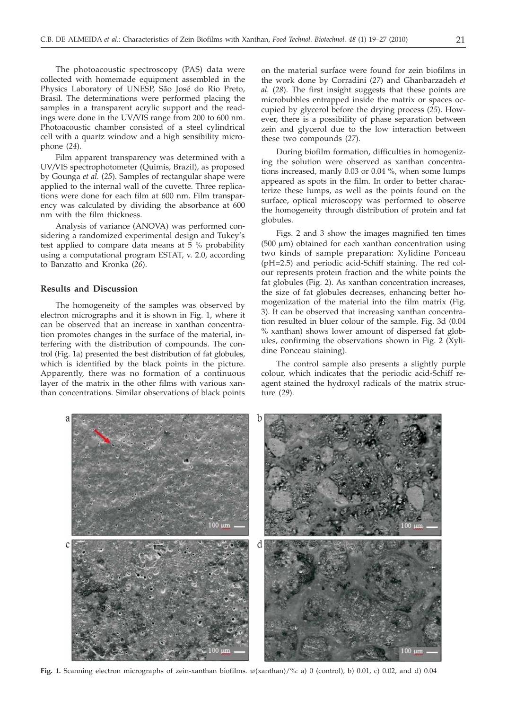The photoacoustic spectroscopy (PAS) data were collected with homemade equipment assembled in the Physics Laboratory of UNESP, São José do Rio Preto, Brasil. The determinations were performed placing the samples in a transparent acrylic support and the readings were done in the UV*/*VIS range from 200 to 600 nm. Photoacoustic chamber consisted of a steel cylindrical cell with a quartz window and a high sensibility microphone (*24*).

Film apparent transparency was determined with a UV*/*VIS spectrophotometer (Quimis, Brazil), as proposed by Gounga *et al.* (*25*). Samples of rectangular shape were applied to the internal wall of the cuvette. Three replications were done for each film at 600 nm. Film transparency was calculated by dividing the absorbance at 600 nm with the film thickness.

Analysis of variance (ANOVA) was performed considering a randomized experimental design and Tukey's test applied to compare data means at 5 % probability using a computational program ESTAT, v. 2.0, according to Banzatto and Kronka (*26*).

## **Results and Discussion**

The homogeneity of the samples was observed by electron micrographs and it is shown in Fig. 1, where it can be observed that an increase in xanthan concentration promotes changes in the surface of the material, interfering with the distribution of compounds. The control (Fig. 1a) presented the best distribution of fat globules, which is identified by the black points in the picture. Apparently, there was no formation of a continuous layer of the matrix in the other films with various xanthan concentrations. Similar observations of black points

on the material surface were found for zein biofilms in the work done by Corradini (*27*) and Ghanbarzadeh *et al.* (*28*). The first insight suggests that these points are microbubbles entrapped inside the matrix or spaces occupied by glycerol before the drying process (*25*). However, there is a possibility of phase separation between zein and glycerol due to the low interaction between these two compounds (*27*).

During biofilm formation, difficulties in homogenizing the solution were observed as xanthan concentrations increased, manly 0.03 or 0.04 %, when some lumps appeared as spots in the film. In order to better characterize these lumps, as well as the points found on the surface, optical microscopy was performed to observe the homogeneity through distribution of protein and fat globules.

Figs. 2 and 3 show the images magnified ten times  $(500 \mu m)$  obtained for each xanthan concentration using two kinds of sample preparation: Xylidine Ponceau (pH=2.5) and periodic acid-Schiff staining. The red colour represents protein fraction and the white points the fat globules (Fig. 2). As xanthan concentration increases, the size of fat globules decreases, enhancing better homogenization of the material into the film matrix (Fig. 3). It can be observed that increasing xanthan concentration resulted in bluer colour of the sample. Fig. 3d (0.04 % xanthan) shows lower amount of dispersed fat globules, confirming the observations shown in Fig. 2 (Xylidine Ponceau staining).

The control sample also presents a slightly purple colour, which indicates that the periodic acid-Schiff reagent stained the hydroxyl radicals of the matrix structure (*29*).



**Fig. 1.** Scanning electron micrographs of zein-xanthan biofilms. *w*(xanthan)/%: a) 0 (control), b) 0.01, c) 0.02, and d) 0.04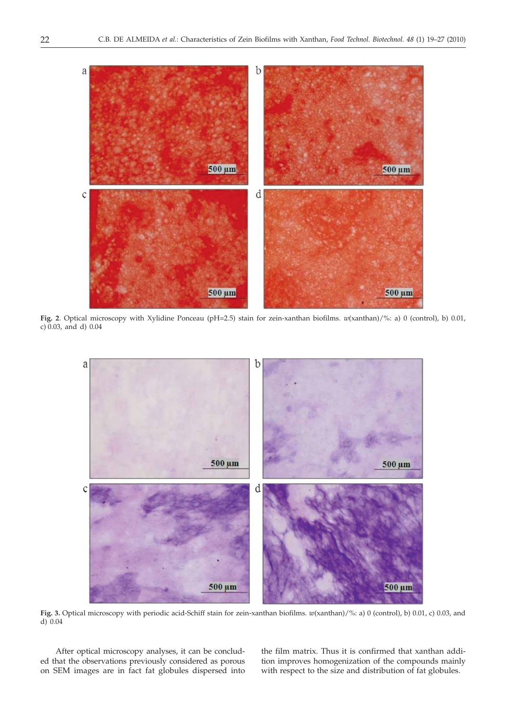

**Fig. 2**. Optical microscopy with Xylidine Ponceau (pH=2.5) stain for zein-xanthan biofilms. *w*(xanthan)/%: a) 0 (control), b) 0.01, c) 0.03, and d) 0.04



**Fig. 3.** Optical microscopy with periodic acid-Schiff stain for zein-xanthan biofilms. *w*(xanthan)/%: a) 0 (control), b) 0.01, c) 0.03, and d) 0.04

After optical microscopy analyses, it can be concluded that the observations previously considered as porous on SEM images are in fact fat globules dispersed into the film matrix. Thus it is confirmed that xanthan addition improves homogenization of the compounds mainly with respect to the size and distribution of fat globules.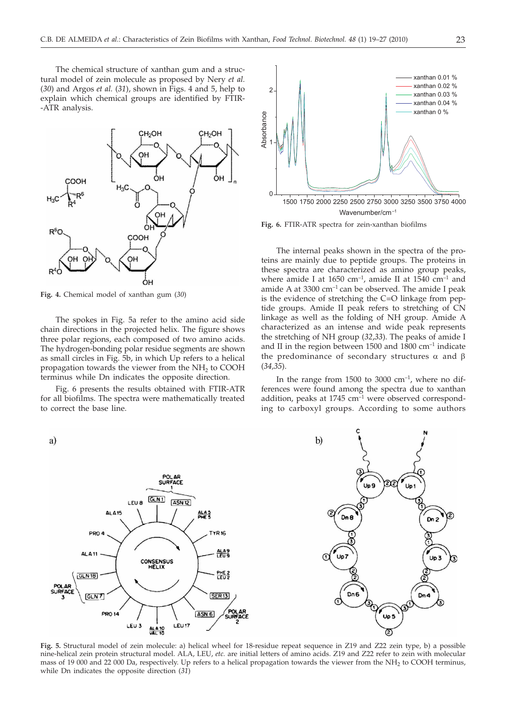The chemical structure of xanthan gum and a structural model of zein molecule as proposed by Nery *et al.* (*30*) and Argos *et al.* (*31*), shown in Figs. 4 and 5, help to explain which chemical groups are identified by FTIR- -ATR analysis.



**Fig. 4.** Chemical model of xanthan gum (*30*)

The spokes in Fig. 5a refer to the amino acid side chain directions in the projected helix. The figure shows three polar regions, each composed of two amino acids. The hydrogen-bonding polar residue segments are shown as small circles in Fig. 5b, in which Up refers to a helical propagation towards the viewer from the  $NH<sub>2</sub>$  to COOH terminus while Dn indicates the opposite direction.

Fig. 6 presents the results obtained with FTIR-ATR for all biofilms. The spectra were mathematically treated to correct the base line.



**Fig. 6.** FTIR-ATR spectra for zein-xanthan biofilms

The internal peaks shown in the spectra of the proteins are mainly due to peptide groups. The proteins in these spectra are characterized as amino group peaks, where amide I at 1650 cm<sup>-1</sup>, amide II at 1540 cm<sup>-1</sup> and amide A at  $3300 \text{ cm}^{-1}$  can be observed. The amide I peak is the evidence of stretching the C=O linkage from peptide groups. Amide II peak refers to stretching of CN linkage as well as the folding of NH group. Amide A characterized as an intense and wide peak represents the stretching of NH group (*32*,*33*). The peaks of amide I and II in the region between 1500 and 1800  $cm^{-1}$  indicate the predominance of secondary structures  $\alpha$  and  $\beta$ (*34,35*).

In the range from  $1500$  to  $3000 \text{ cm}^{-1}$ , where no differences were found among the spectra due to xanthan addition, peaks at  $1745 \text{ cm}^{-1}$  were observed corresponding to carboxyl groups. According to some authors



**Fig. 5.** Structural model of zein molecule: a) helical wheel for 18-residue repeat sequence in Z19 and Z22 zein type, b) a possible nine-helical zein protein structural model. ALA, LEU, *etc.* are initial letters of amino acids. Z19 and Z22 refer to zein with molecular mass of 19 000 and 22 000 Da, respectively. Up refers to a helical propagation towards the viewer from the NH2 to COOH terminus, while Dn indicates the opposite direction (*31*)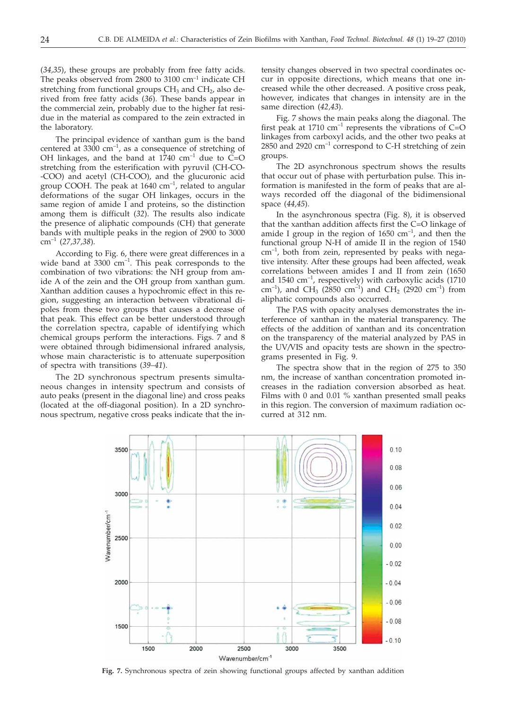(*34,35*), these groups are probably from free fatty acids. The peaks observed from  $2800$  to  $3100$  cm<sup>-1</sup> indicate CH stretching from functional groups  $CH<sub>3</sub>$  and  $CH<sub>2</sub>$ , also derived from free fatty acids (*36*). These bands appear in the commercial zein, probably due to the higher fat residue in the material as compared to the zein extracted in the laboratory.

The principal evidence of xanthan gum is the band centered at 3300  $cm^{-1}$ , as a consequence of stretching of OH linkages, and the band at  $1740 \text{ cm}^{-1}$  due to C=O stretching from the esterification with pyruvil (CH-CO- -COO) and acetyl (CH-COO), and the glucuronic acid group COOH. The peak at  $1640 \text{ cm}^{-1}$ , related to angular deformations of the sugar OH linkages, occurs in the same region of amide I and proteins, so the distinction among them is difficult (*32*). The results also indicate the presence of aliphatic compounds (CH) that generate bands with multiple peaks in the region of 2900 to 3000 cm–1 (*27,37,38*).

According to Fig. 6, there were great differences in a wide band at  $3300 \text{ cm}^{-1}$ . This peak corresponds to the combination of two vibrations: the NH group from amide A of the zein and the OH group from xanthan gum. Xanthan addition causes a hypochromic effect in this region, suggesting an interaction between vibrational dipoles from these two groups that causes a decrease of that peak. This effect can be better understood through the correlation spectra, capable of identifying which chemical groups perform the interactions. Figs. 7 and 8 were obtained through bidimensional infrared analysis, whose main characteristic is to attenuate superposition of spectra with transitions (*39–41*).

The 2D synchronous spectrum presents simultaneous changes in intensity spectrum and consists of auto peaks (present in the diagonal line) and cross peaks (located at the off-diagonal position). In a 2D synchronous spectrum, negative cross peaks indicate that the in-

tensity changes observed in two spectral coordinates occur in opposite directions, which means that one increased while the other decreased. A positive cross peak, however, indicates that changes in intensity are in the same direction (*42,43*).

Fig. 7 shows the main peaks along the diagonal. The first peak at 1710  $\text{cm}^{-1}$  represents the vibrations of C=O linkages from carboxyl acids, and the other two peaks at  $2850$  and  $2920$  cm<sup>-1</sup> correspond to C-H stretching of zein groups.

The 2D asynchronous spectrum shows the results that occur out of phase with perturbation pulse. This information is manifested in the form of peaks that are always recorded off the diagonal of the bidimensional space (*44,45*).

In the asynchronous spectra (Fig. 8), it is observed that the xanthan addition affects first the C=O linkage of amide I group in the region of  $1650 \text{ cm}^{-1}$ , and then the functional group N-H of amide II in the region of 1540  $cm^{-1}$ , both from zein, represented by peaks with negative intensity. After these groups had been affected, weak correlations between amides I and II from zein (1650 and  $1540 \text{ cm}^{-1}$ , respectively) with carboxylic acids (1710 cm<sup>-1</sup>), and CH<sub>3</sub> (2850 cm<sup>-1</sup>) and CH<sub>2</sub> (2920 cm<sup>-1</sup>) from aliphatic compounds also occurred.

The PAS with opacity analyses demonstrates the interference of xanthan in the material transparency. The effects of the addition of xanthan and its concentration on the transparency of the material analyzed by PAS in the UV*/*VIS and opacity tests are shown in the spectrograms presented in Fig. 9.

The spectra show that in the region of 275 to 350 nm, the increase of xanthan concentration promoted increases in the radiation conversion absorbed as heat. Films with 0 and 0.01 % xanthan presented small peaks in this region. The conversion of maximum radiation occurred at 312 nm.



**Fig. 7.** Synchronous spectra of zein showing functional groups affected by xanthan addition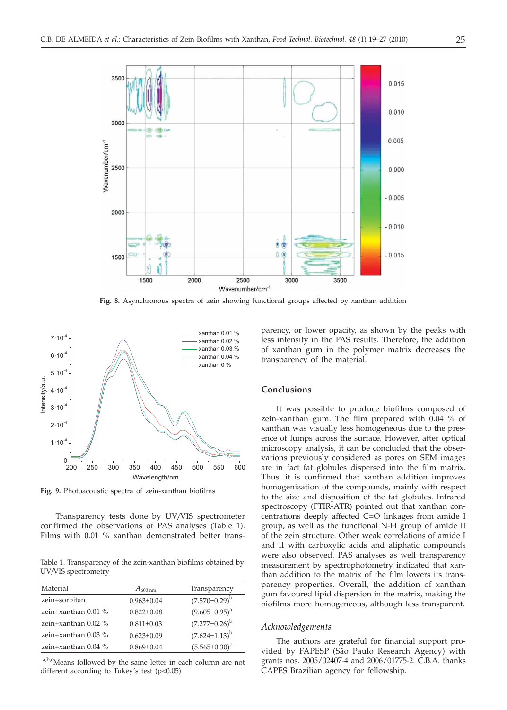

**Fig. 8.** Asynchronous spectra of zein showing functional groups affected by xanthan addition



**Fig. 9.** Photoacoustic spectra of zein-xanthan biofilms

Transparency tests done by UV*/*VIS spectrometer confirmed the observations of PAS analyses (Table 1). Films with 0.01 % xanthan demonstrated better trans-

Table 1. Transparency of the zein-xanthan biofilms obtained by UV*/*VIS spectrometry

| Material              | $A_{600\;nm}$    | Transparency           |
|-----------------------|------------------|------------------------|
| zein+sorbitan         | $0.963 + 0.04$   | $(7.570 \pm 0.29)^b$   |
| zein+xanthan $0.01\%$ | $0.822 + 0.08$   | $(9.605 \pm 0.95)^a$   |
| zein+xanthan $0.02\%$ | $0.811 + 0.03$   | $(7.277 \pm 0.26)^b$   |
| zein+xanthan $0.03\%$ | $0.623 \pm 0.09$ | $(7.624 \pm 1.13)^{b}$ |
| zein+xanthan $0.04\%$ | $0.869 \pm 0.04$ | $(5.565 \pm 0.30)^c$   |
|                       |                  |                        |

a,b,cMeans followed by the same letter in each column are not different according to Tukey's test (p<0.05)

parency, or lower opacity, as shown by the peaks with less intensity in the PAS results. Therefore, the addition of xanthan gum in the polymer matrix decreases the transparency of the material.

#### **Conclusions**

It was possible to produce biofilms composed of zein-xanthan gum. The film prepared with 0.04 % of xanthan was visually less homogeneous due to the presence of lumps across the surface. However, after optical microscopy analysis, it can be concluded that the observations previously considered as pores on SEM images are in fact fat globules dispersed into the film matrix. Thus, it is confirmed that xanthan addition improves homogenization of the compounds, mainly with respect to the size and disposition of the fat globules. Infrared spectroscopy (FTIR-ATR) pointed out that xanthan concentrations deeply affected C=O linkages from amide I group, as well as the functional N-H group of amide II of the zein structure. Other weak correlations of amide I and II with carboxylic acids and aliphatic compounds were also observed. PAS analyses as well transparency measurement by spectrophotometry indicated that xanthan addition to the matrix of the film lowers its transparency properties. Overall, the addition of xanthan gum favoured lipid dispersion in the matrix, making the biofilms more homogeneous, although less transparent.

## *Acknowledgements*

The authors are grateful for financial support provided by FAPESP (São Paulo Research Agency) with grants nos. 2005/02407-4 and 2006/01775-2. C.B.A. thanks CAPES Brazilian agency for fellowship.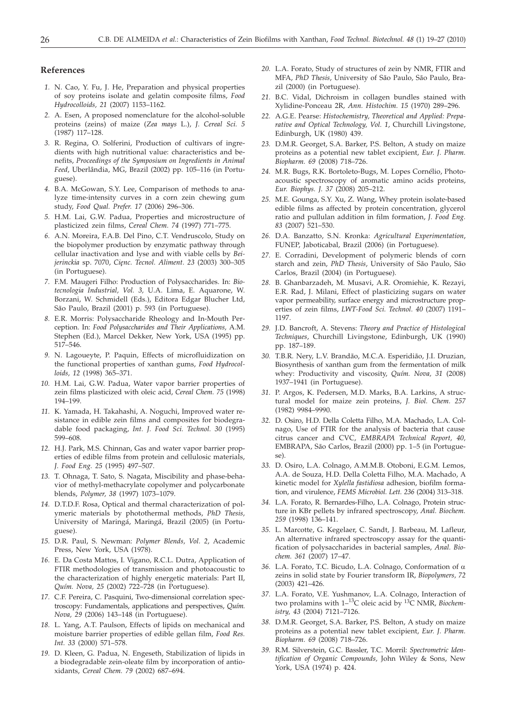## **References**

- *1.* N. Cao, Y. Fu, J. He, Preparation and physical properties of soy proteins isolate and gelatin composite films, *Food Hydrocolloids, 21* (2007) 1153–1162.
- *2.* A. Esen, A proposed nomenclature for the alcohol-soluble proteins (zeins) of maize (*Zea mays* L.), *J. Cereal Sci. 5* (1987) 117–128.
- *3.* R. Regina, O. Solferini, Production of cultivars of ingredients with high nutritional value: characteristics and benefits, *Proceedings of the Symposium on Ingredients in Animal Feed*, Uberlândia, MG, Brazil (2002) pp. 105–116 (in Portuguese).
- *4.* B.A. McGowan, S.Y. Lee, Comparison of methods to analyze time-intensity curves in a corn zein chewing gum study, *Food Qual. Prefer. 17* (2006) 296–306.
- *5.* H.M. Lai, G.W. Padua, Properties and microstructure of plasticized zein films, *Cereal Chem. 74* (1997) 771–775.
- *6.* A.N. Moreira, F.A.B. Del Pino, C.T. Vendruscolo, Study on the biopolymer production by enzymatic pathway through cellular inactivation and lyse and with viable cells by *Beijerinckia* sp. 7070, *Cie¸nc. Tecnol. Aliment. 23* (2003) 300–305 (in Portuguese).
- *7.* F.M. Maugeri Filho: Production of Polysaccharides. In: *Biotecnologia Industrial, Vol. 3,* U.A. Lima, E. Aquarone, W. Borzani, W. Schmidell (Eds.), Editora Edgar Blucher Ltd, São Paulo, Brazil (2001) p. 593 (in Portuguese).
- *8.* E.R. Morris: Polysaccharide Rheology and In-Mouth Perception. In: *Food Polysaccharides and Their Applications,* A.M. Stephen (Ed.), Marcel Dekker, New York, USA (1995) pp. 517–546.
- *9.* N. Lagoueyte, P. Paquin, Effects of microfluidization on the functional properties of xanthan gums, *Food Hydrocolloids, 12* (1998) 365–371.
- *10.* H.M. Lai, G.W. Padua, Water vapor barrier properties of zein films plasticized with oleic acid, *Cereal Chem. 75* (1998) 194–199.
- *11.* K. Yamada, H. Takahashi, A. Noguchi, Improved water resistance in edible zein films and composites for biodegradable food packaging, *Int. J. Food Sci. Technol. 30* (1995) 599–608.
- *12.* H.J. Park, M.S. Chinnan, Gas and water vapor barrier properties of edible films from protein and cellulosic materials, *J. Food Eng. 25* (1995) 497–507.
- *13.* T. Ohnaga, T. Sato, S. Nagata, Miscibility and phase-behavior of methyl-methacrylate copolymer and polycarbonate blends, *Polymer, 38* (1997) 1073–1079.
- *14.* D.T.D.F. Rosa, Optical and thermal characterization of polymeric materials by photothermal methods, *PhD Thesis,* University of Maringá, Maringá, Brazil (2005) (in Portuguese).
- *15.* D.R. Paul, S. Newman: *Polymer Blends, Vol. 2*, Academic Press, New York, USA (1978).
- *16.* E. Da Costa Mattos, I. Vigano, R.C.L. Dutra, Application of FTIR methodologies of transmission and photoacoustic to the characterization of highly energetic materials: Part II, *Quím. Nova, 25* (2002) 722–728 (in Portuguese).
- *17.* C.F. Pereira, C. Pasquini, Two-dimensional correlation spectroscopy: Fundamentals, applications and perspectives, *Quím. Nova, 29* (2006) 143–148 (in Portuguese).
- *18.* L. Yang, A.T. Paulson, Effects of lipids on mechanical and moisture barrier properties of edible gellan film, *Food Res. Int. 33* (2000) 571–578.
- *19.* D. Kleen, G. Padua, N. Engeseth, Stabilization of lipids in a biodegradable zein-oleate film by incorporation of antioxidants, *Cereal Chem. 79* (2002) 687–694.
- *20.* L.A. Forato, Study of structures of zein by NMR, FTIR and MFA, *PhD Thesis*, University of São Paulo, São Paulo, Brazil (2000) (in Portuguese).
- *21.* B.C. Vidal, Dichroism in collagen bundles stained with Xylidine-Ponceau 2R*, Ann. Histochim. 15* (1970) 289–296.
- *22.* A.G.E. Pearse: *Histochemistry, Theoretical and Applied: Preparative and Optical Technology, Vol. 1*, Churchill Livingstone, Edinburgh, UK (1980) 439.
- *23.* D.M.R. Georget, S.A. Barker, P.S. Belton, A study on maize proteins as a potential new tablet excipient, *Eur. J. Pharm. Biopharm. 69* (2008) 718–726.
- *24.* M.R. Bugs, R.K. Bortoleto-Bugs, M. Lopes Cornélio, Photoacoustic spectroscopy of aromatic amino acids proteins, *Eur. Biophys. J. 37* (2008) 205–212.
- *25.* M.E. Gounga, S.Y. Xu, Z. Wang, Whey protein isolate-based edible films as affected by protein concentration, glycerol ratio and pullulan addition in film formation, *J. Food Eng. 83* (2007) 521–530.
- *26.* D.A. Banzatto, S.N. Kronka: *Agricultural Experimentation*, FUNEP, Jaboticabal, Brazil (2006) (in Portuguese).
- *27.* E. Corradini, Development of polymeric blends of corn starch and zein, *PhD Thesis*, University of São Paulo, São Carlos, Brazil (2004) (in Portuguese).
- *28.* B. Ghanbarzadeh, M. Musavi, A.R. Oromiehie, K. Rezayi, E.R. Rad, J. Milani, Effect of plasticizing sugars on water vapor permeability, surface energy and microstructure properties of zein films, *LWT-Food Sci. Technol. 40* (2007) 1191– 1197.
- *29.* J.D. Bancroft, A. Stevens: *Theory and Practice of Histological Techniques*, Churchill Livingstone, Edinburgh, UK (1990) pp. 187–189.
- *30.* T.B.R. Nery, L.V. Brandão, M.C.A. Esperidião, J.I. Druzian, Biosynthesis of xanthan gum from the fermentation of milk whey: Productivity and viscosity, *Quím. Nova, 31* (2008) 1937–1941 (in Portuguese).
- *31.* P. Argos, K. Pedersen, M.D. Marks, B.A. Larkins, A structural model for maize zein proteins, *J. Biol. Chem. 257* (1982) 9984–9990.
- *32.* D. Osiro, H.D. Della Coletta Filho, M.A. Machado, L.A. Colnago, Use of FTIR for the analysis of bacteria that cause citrus cancer and CVC, *EMBRAPA Technical Report, 40,* EMBRAPA, São Carlos, Brazil (2000) pp. 1–5 (in Portuguese).
- *33.* D. Osiro, L.A. Colnago, A.M.M.B. Otoboni, E.G.M. Lemos, A.A. de Souza, H.D. Della Coletta Filho, M.A. Machado, A kinetic model for *Xylella fastidiosa* adhesion, biofilm formation, and virulence, *FEMS Microbiol. Lett. 236* (2004) 313–318.
- *34.* L.A. Forato, R. Bernardes-Filho, L.A. Colnago, Protein structure in KBr pellets by infrared spectroscopy, *Anal. Biochem. 259* (1998) 136–141.
- *35.* L. Marcotte, G. Kegelaer, C. Sandt, J. Barbeau, M. Lafleur, An alternative infrared spectroscopy assay for the quantification of polysaccharides in bacterial samples, *Anal. Biochem. 361* (2007) 17–47.
- *36.* L.A. Forato, T.C. Bicudo, L.A. Colnago, Conformation of a zeins in solid state by Fourier transform IR, *Biopolymers, 72* (2003) 421–426.
- *37.* L.A. Forato, V.E. Yushmanov, L.A. Colnago, Interaction of two prolamins with 1–13C oleic acid by 13C NMR, *Biochemistry, 43* (2004) 7121–7126.
- *38.* D.M.R. Georget, S.A. Barker, P.S. Belton, A study on maize proteins as a potential new tablet excipient, *Eur. J. Pharm. Biopharm. 69* (2008) 718–726.
- *39.* R.M. Silverstein, G.C. Bassler, T.C. Morril: *Spectrometric Identification of Organic Compounds,* John Wiley & Sons, New York, USA (1974) p. 424.